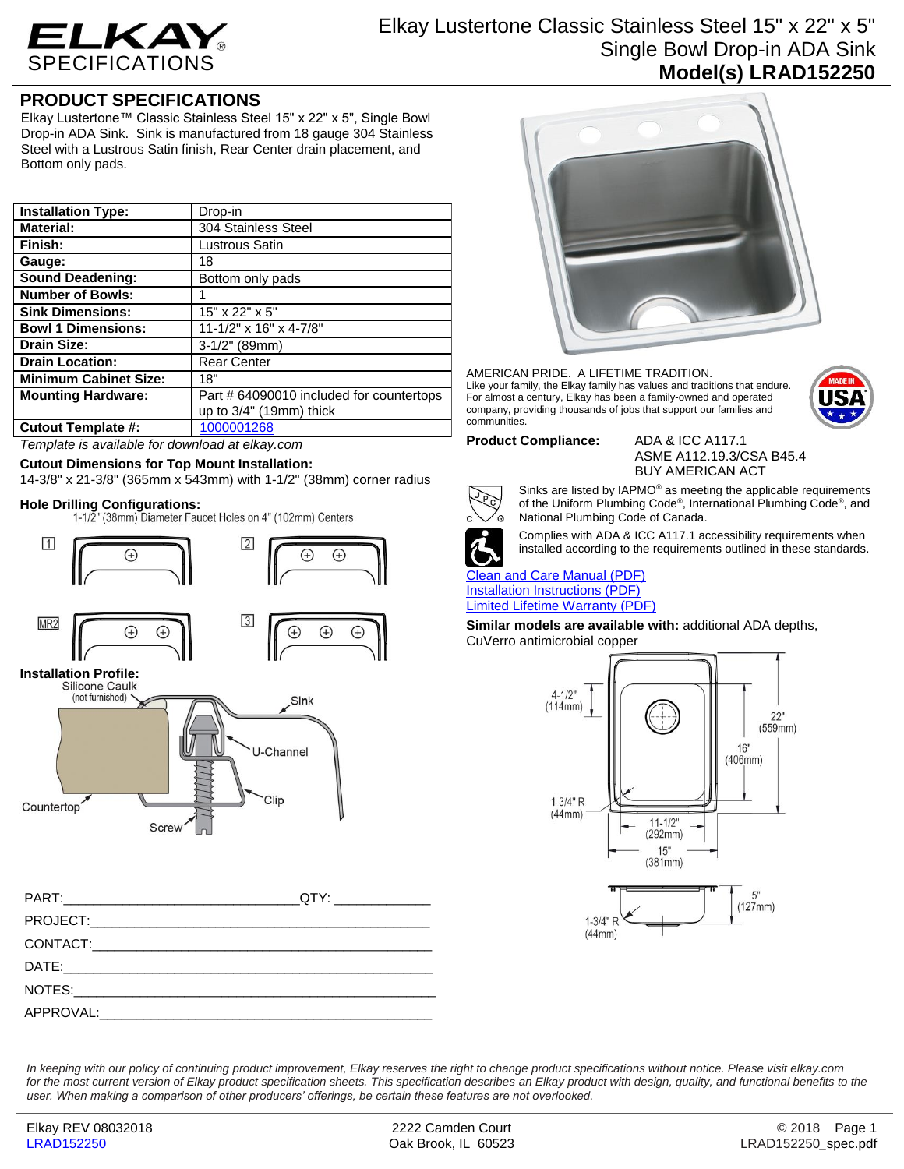

# Elkay Lustertone Classic Stainless Steel 15" x 22" x 5" Single Bowl Drop-in ADA Sink **Model(s) LRAD152250**

# **PRODUCT SPECIFICATIONS**

Elkay Lustertone™ Classic Stainless Steel 15" x 22" x 5", Single Bowl Drop-in ADA Sink. Sink is manufactured from 18 gauge 304 Stainless Steel with a Lustrous Satin finish, Rear Center drain placement, and Bottom only pads.

| <b>Installation Type:</b>    | Drop-in                                  |
|------------------------------|------------------------------------------|
| <b>Material:</b>             | 304 Stainless Steel                      |
| Finish:                      | Lustrous Satin                           |
| Gauge:                       | 18                                       |
| <b>Sound Deadening:</b>      | Bottom only pads                         |
| <b>Number of Bowls:</b>      |                                          |
| <b>Sink Dimensions:</b>      | 15" x 22" x 5"                           |
| <b>Bowl 1 Dimensions:</b>    | 11-1/2" x 16" x 4-7/8"                   |
| <b>Drain Size:</b>           | $3-1/2$ " (89mm)                         |
| <b>Drain Location:</b>       | <b>Rear Center</b>                       |
| <b>Minimum Cabinet Size:</b> | 18"                                      |
| <b>Mounting Hardware:</b>    | Part # 64090010 included for countertops |
|                              | up to $3/4$ " (19mm) thick               |
| <b>Cutout Template #:</b>    | 1000001268                               |

*Template is available for download at elkay.com*

## **Cutout Dimensions for Top Mount Installation:**

14-3/8" x 21-3/8" (365mm x 543mm) with 1-1/2" (38mm) corner radius

**Hole Drilling Configurations:**





| QTY: _______________ |
|----------------------|
|                      |
|                      |
|                      |
|                      |
|                      |



### AMERICAN PRIDE. A LIFETIME TRADITION. Like your family, the Elkay family has values and traditions that endure. For almost a century, Elkay has been a family-owned and operated company, providing thousands of jobs that support our families and communities.



## **Product Compliance:** ADA & ICC A117.1

ASME A112.19.3/CSA B45.4 BUY AMERICAN ACT



of the Uniform Plumbing Code® , International Plumbing Code® , and National Plumbing Code of Canada. Complies with ADA & ICC A117.1 accessibility requirements when

Sinks are listed by IAPMO® as meeting the applicable requirements

installed according to the requirements outlined in these standards.

## [Clean and Care Manual \(PDF\)](http://www.elkay.com/wcsstore/lkdocs/care-cleaning-install-warranty-sheets/residential%20and%20commercial%20care%20%20cleaning.pdf) [Installation Instructions \(PDF\)](http://www.elkay.com/wcsstore/lkdocs/care-cleaning-install-warranty-sheets/74180147.pdf) [Limited Lifetime Warranty](http://www.elkay.com/wcsstore/lkdocs/care-cleaning-install-warranty-sheets/residential%20sinks%20warranty.pdf) (PDF)

**Similar models are available with:** additional ADA depths, CuVerro antimicrobial copper



*In keeping with our policy of continuing product improvement, Elkay reserves the right to change product specifications without notice. Please visit elkay.com*  for the most current version of Elkay product specification sheets. This specification describes an Elkay product with design, quality, and functional benefits to the *user. When making a comparison of other producers' offerings, be certain these features are not overlooked.*